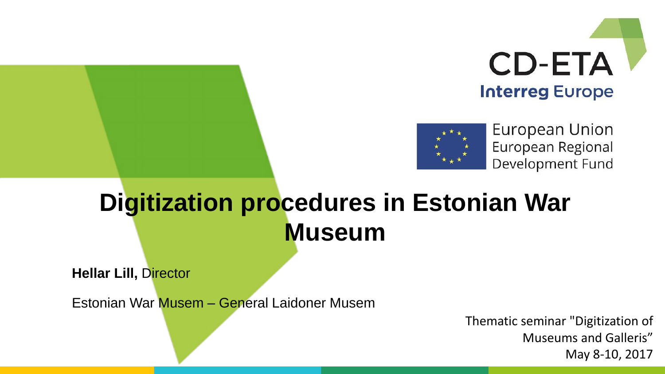



European Union European Regional Development Fund

#### **Digitization procedures in Estonian War Museum**

**Hellar Lill,** Director

Estonian War Musem – General Laidoner Musem

Thematic seminar "Digitization of Museums and Galleris" May 8-10, 2017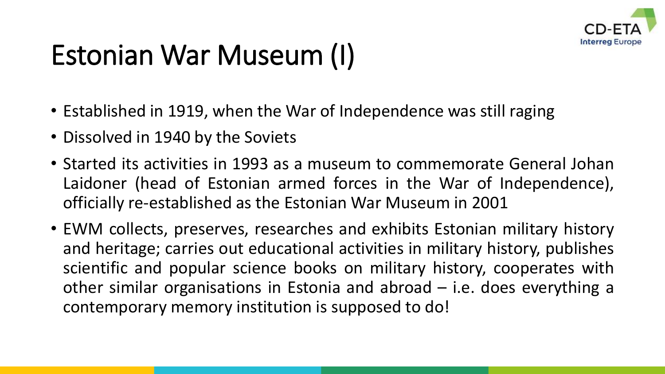

### Estonian War Museum (I)

- Established in 1919, when the War of Independence was still raging
- Dissolved in 1940 by the Soviets
- Started its activities in 1993 as a museum to commemorate General Johan Laidoner (head of Estonian armed forces in the War of Independence), officially re-established as the Estonian War Museum in 2001
- EWM collects, preserves, researches and exhibits Estonian military history and heritage; carries out educational activities in military history, publishes scientific and popular science books on military history, cooperates with other similar organisations in Estonia and abroad – i.e. does everything a contemporary memory institution is supposed to do!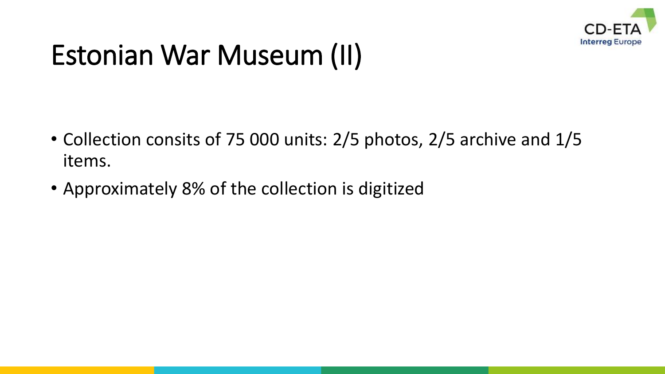

#### Estonian War Museum (II)

- Collection consits of 75 000 units: 2/5 photos, 2/5 archive and 1/5 items.
- Approximately 8% of the collection is digitized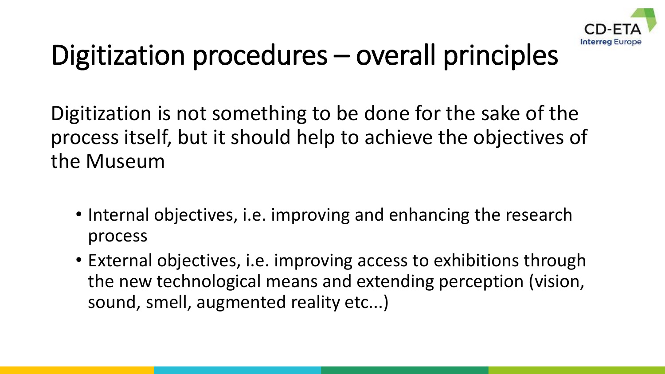

### Digitization procedures – overall principles

Digitization is not something to be done for the sake of the process itself, but it should help to achieve the objectives of the Museum

- Internal objectives, i.e. improving and enhancing the research process
- External objectives, i.e. improving access to exhibitions through the new technological means and extending perception (vision, sound, smell, augmented reality etc...)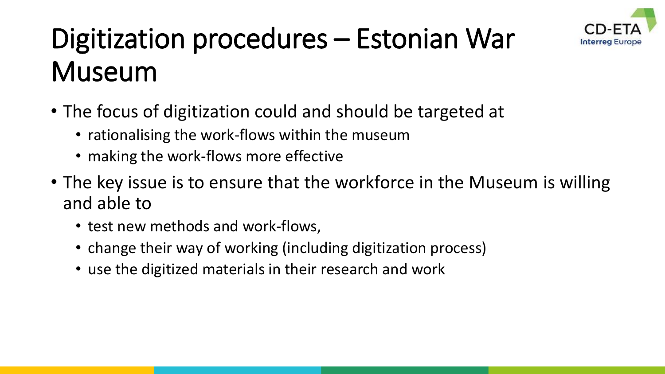

## Digitization procedures – Estonian War Museum

- The focus of digitization could and should be targeted at
	- rationalising the work-flows within the museum
	- making the work-flows more effective
- The key issue is to ensure that the workforce in the Museum is willing and able to
	- test new methods and work-flows,
	- change their way of working (including digitization process)
	- use the digitized materials in their research and work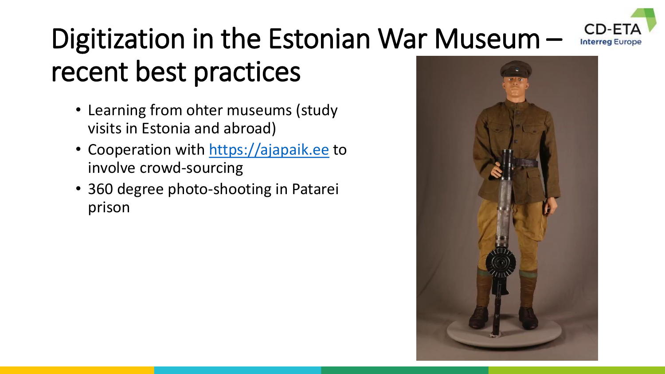#### Digitization in the Estonian War Museum – **Interreg Europe** recent best practices

- Learning from ohter museums (study visits in Estonia and abroad)
- Cooperation with [https://ajapaik.ee](https://ajapaik.ee/) to involve crowd-sourcing
- 360 degree photo-shooting in Patarei prison

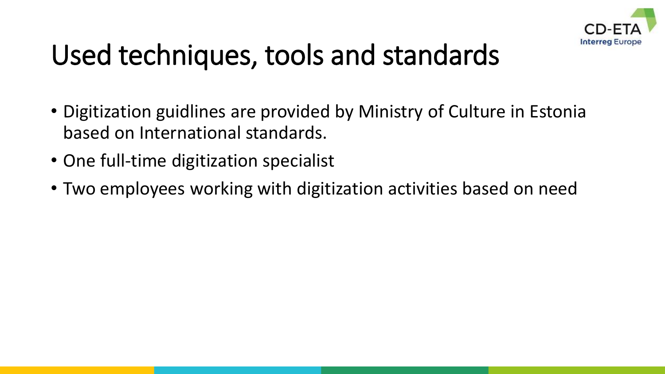

#### Used techniques, tools and standards

- Digitization guidlines are provided by Ministry of Culture in Estonia based on International standards.
- One full-time digitization specialist
- Two employees working with digitization activities based on need